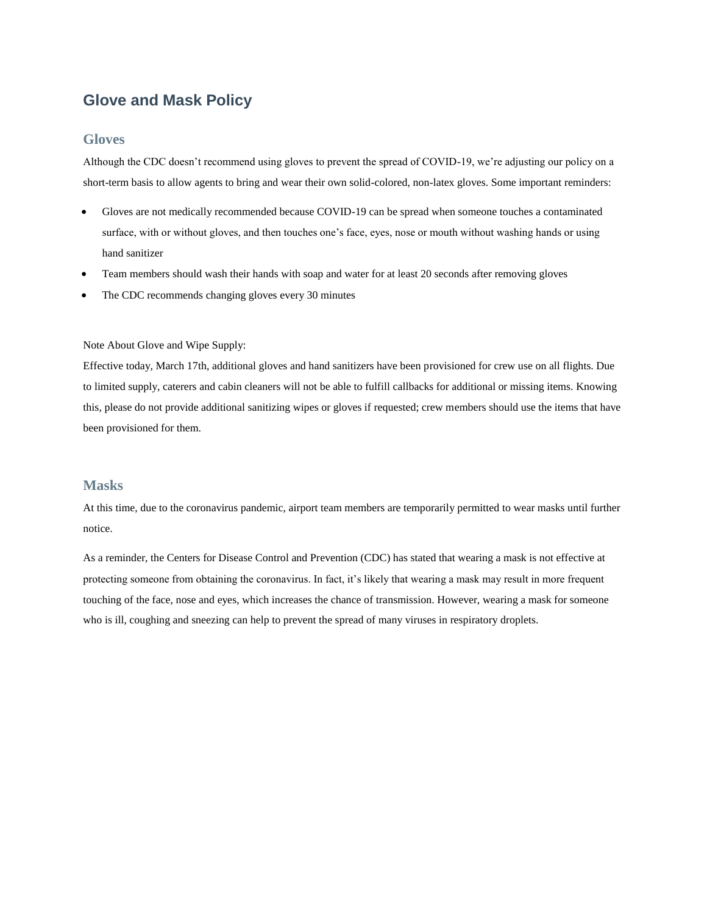# **Glove and Mask Policy**

#### **Gloves**

Although the CDC doesn't recommend using gloves to prevent the spread of COVID-19, we're adjusting our policy on a short-term basis to allow agents to bring and wear their own solid-colored, non-latex gloves. Some important reminders:

- Gloves are not medically recommended because COVID-19 can be spread when someone touches a contaminated surface, with or without gloves, and then touches one's face, eyes, nose or mouth without washing hands or using hand sanitizer
- Team members should wash their hands with soap and water for at least 20 seconds after removing gloves
- The CDC recommends changing gloves every 30 minutes

#### Note About Glove and Wipe Supply:

Effective today, March 17th, additional gloves and hand sanitizers have been provisioned for crew use on all flights. Due to limited supply, caterers and cabin cleaners will not be able to fulfill callbacks for additional or missing items. Knowing this, please do not provide additional sanitizing wipes or gloves if requested; crew members should use the items that have been provisioned for them.

#### **Masks**

At this time, due to the coronavirus pandemic, airport team members are temporarily permitted to wear masks until further notice.

As a reminder, the Centers for Disease Control and Prevention (CDC) has stated that wearing a mask is not effective at protecting someone from obtaining the coronavirus. In fact, it's likely that wearing a mask may result in more frequent touching of the face, nose and eyes, which increases the chance of transmission. However, wearing a mask for someone who is ill, coughing and sneezing can help to prevent the spread of many viruses in respiratory droplets.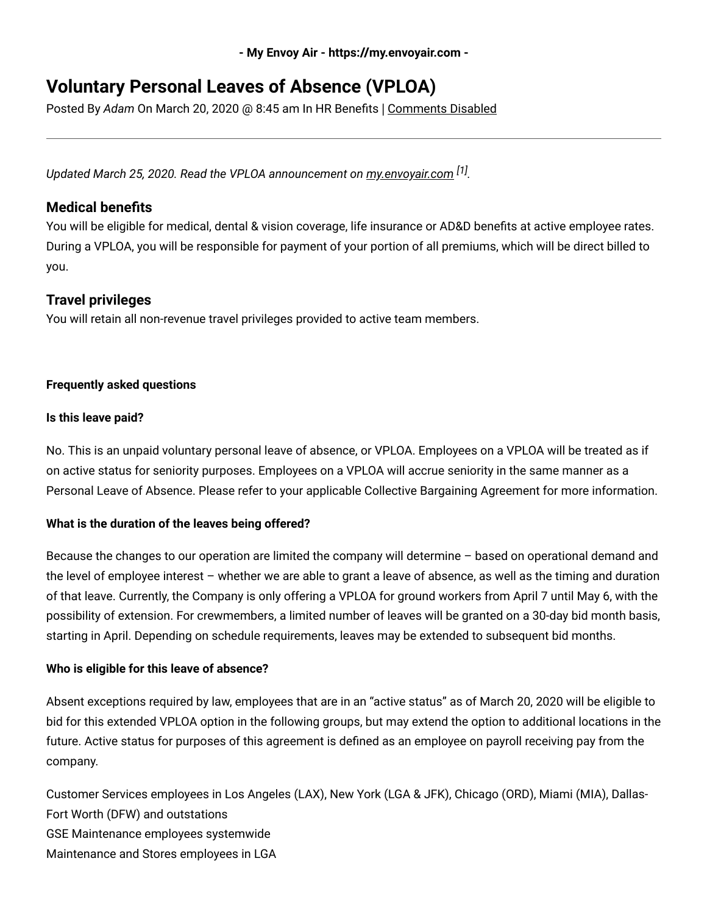**- My Envoy Air - https://my.envoyair.com -**

# **Voluntary Personal Leaves of Absence (VPLOA)**

Posted By *Adam* On March 20, 2020 @ 8:45 am In HR Benefits | Comments Disabled

*Updated March 25, 2020. Read the VPLOA announcement on [my.envoyair.com](https://my.envoyair.com/index.php/envoy-offers-voluntary-personal-leave-of-absence/) [1] .*

# **Medical benefits**

You will be eligible for medical, dental & vision coverage, life insurance or AD&D benefits at active employee rates. During a VPLOA, you will be responsible for payment of your portion of all premiums, which will be direct billed to you.

# **Travel privileges**

You will retain all non-revenue travel privileges provided to active team members.

## **Frequently asked questions**

## **Is this leave paid?**

No. This is an unpaid voluntary personal leave of absence, or VPLOA. Employees on a VPLOA will be treated as if on active status for seniority purposes. Employees on a VPLOA will accrue seniority in the same manner as a Personal Leave of Absence. Please refer to your applicable Collective Bargaining Agreement for more information.

## **What is the duration of the leaves being offered?**

Because the changes to our operation are limited the company will determine – based on operational demand and the level of employee interest – whether we are able to grant a leave of absence, as well as the timing and duration of that leave. Currently, the Company is only offering a VPLOA for ground workers from April 7 until May 6, with the possibility of extension. For crewmembers, a limited number of leaves will be granted on a 30-day bid month basis, starting in April. Depending on schedule requirements, leaves may be extended to subsequent bid months.

## **Who is eligible for this leave of absence?**

Absent exceptions required by law, employees that are in an "active status" as of March 20, 2020 will be eligible to bid for this extended VPLOA option in the following groups, but may extend the option to additional locations in the future. Active status for purposes of this agreement is defined as an employee on payroll receiving pay from the company.

Customer Services employees in Los Angeles (LAX), New York (LGA & JFK), Chicago (ORD), Miami (MIA), Dallas-Fort Worth (DFW) and outstations GSE Maintenance employees systemwide Maintenance and Stores employees in LGA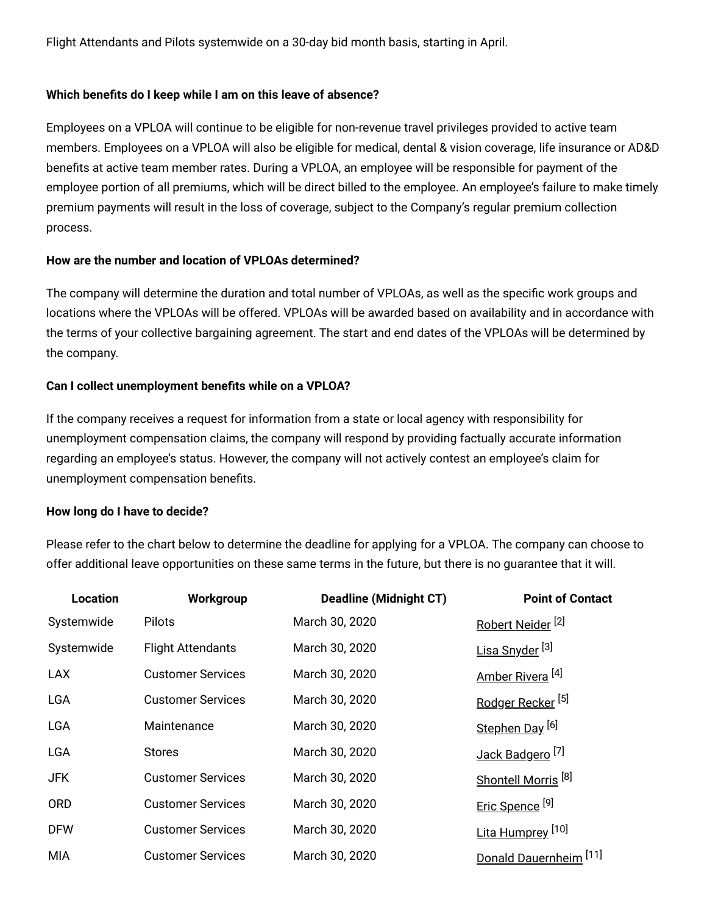Flight Attendants and Pilots systemwide on a 30-day bid month basis, starting in April.

#### **Which benefits do I keep while I am on this leave of absence?**

Employees on a VPLOA will continue to be eligible for non-revenue travel privileges provided to active team members. Employees on a VPLOA will also be eligible for medical, dental & vision coverage, life insurance or AD&D benefits at active team member rates. During a VPLOA, an employee will be responsible for payment of the employee portion of all premiums, which will be direct billed to the employee. An employee's failure to make timely premium payments will result in the loss of coverage, subject to the Company's regular premium collection process.

#### **How are the number and location of VPLOAs determined?**

The company will determine the duration and total number of VPLOAs, as well as the specific work groups and locations where the VPLOAs will be offered. VPLOAs will be awarded based on availability and in accordance with the terms of your collective bargaining agreement. The start and end dates of the VPLOAs will be determined by the company.

#### **Can I collect unemployment benefits while on a VPLOA?**

If the company receives a request for information from a state or local agency with responsibility for unemployment compensation claims, the company will respond by providing factually accurate information regarding an employee's status. However, the company will not actively contest an employee's claim for unemployment compensation benefits.

#### **How long do I have to decide?**

Please refer to the chart below to determine the deadline for applying for a VPLOA. The company can choose to offer additional leave opportunities on these same terms in the future, but there is no guarantee that it will.

| <b>Location</b> | Workgroup                | <b>Deadline (Midnight CT)</b> | <b>Point of Contact</b>           |
|-----------------|--------------------------|-------------------------------|-----------------------------------|
| Systemwide      | Pilots                   | March 30, 2020                | Robert Neider <sup>[2]</sup>      |
| Systemwide      | <b>Flight Attendants</b> | March 30, 2020                | Lisa Snyder <sup>[3]</sup>        |
| <b>LAX</b>      | <b>Customer Services</b> | March 30, 2020                | Amber Rivera <sup>[4]</sup>       |
| <b>LGA</b>      | <b>Customer Services</b> | March 30, 2020                | Rodger Recker <sup>[5]</sup>      |
| <b>LGA</b>      | Maintenance              | March 30, 2020                | Stephen Day <sup>[6]</sup>        |
| LGA             | <b>Stores</b>            | March 30, 2020                | Jack Badgero <sup>[7]</sup>       |
| JFK.            | <b>Customer Services</b> | March 30, 2020                | Shontell Morris <sup>[8]</sup>    |
| <b>ORD</b>      | <b>Customer Services</b> | March 30, 2020                | Eric Spence <sup>[9]</sup>        |
| <b>DFW</b>      | <b>Customer Services</b> | March 30, 2020                | Lita Humprey <sup>[10]</sup>      |
| <b>MIA</b>      | <b>Customer Services</b> | March 30, 2020                | Donald Dauernheim <sup>[11]</sup> |